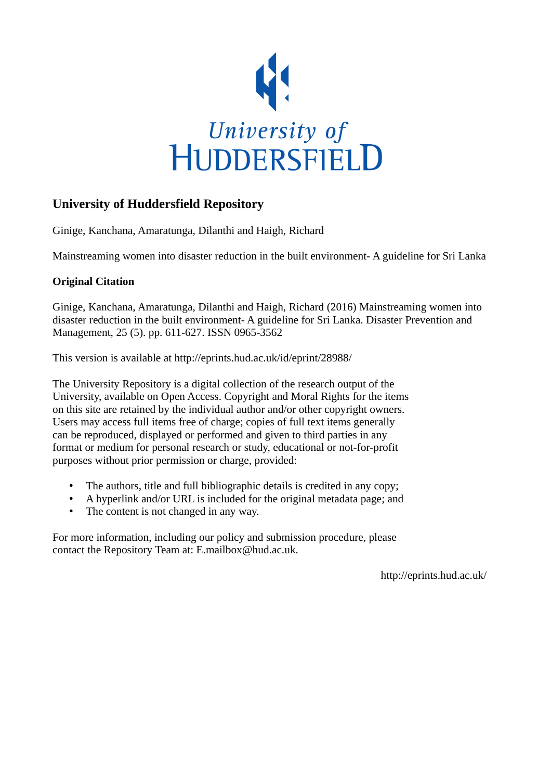

# **University of Huddersfield Repository**

Ginige, Kanchana, Amaratunga, Dilanthi and Haigh, Richard

Mainstreaming women into disaster reduction in the built environment- A guideline for Sri Lanka

## **Original Citation**

Ginige, Kanchana, Amaratunga, Dilanthi and Haigh, Richard (2016) Mainstreaming women into disaster reduction in the built environment- A guideline for Sri Lanka. Disaster Prevention and Management, 25 (5). pp. 611-627. ISSN 0965-3562

This version is available at http://eprints.hud.ac.uk/id/eprint/28988/

The University Repository is a digital collection of the research output of the University, available on Open Access. Copyright and Moral Rights for the items on this site are retained by the individual author and/or other copyright owners. Users may access full items free of charge; copies of full text items generally can be reproduced, displayed or performed and given to third parties in any format or medium for personal research or study, educational or not-for-profit purposes without prior permission or charge, provided:

- The authors, title and full bibliographic details is credited in any copy;
- A hyperlink and/or URL is included for the original metadata page; and
- The content is not changed in any way.

For more information, including our policy and submission procedure, please contact the Repository Team at: E.mailbox@hud.ac.uk.

http://eprints.hud.ac.uk/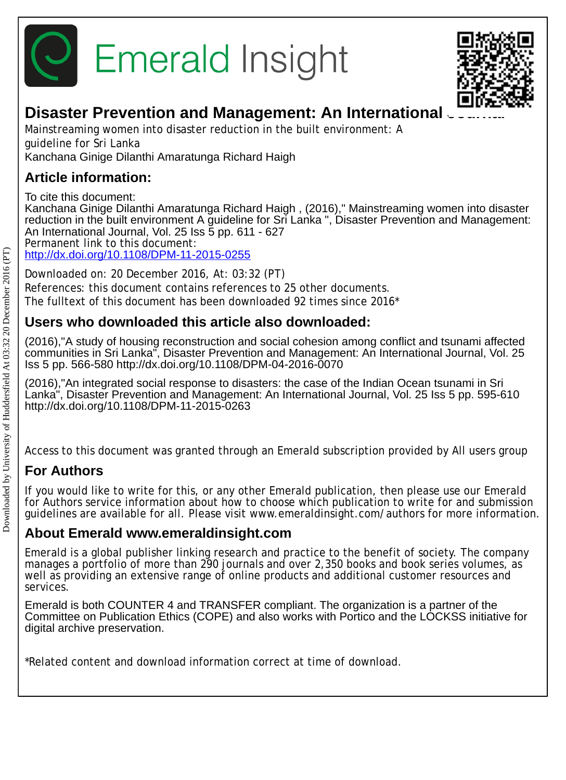



# **Disaster Prevention and Management: An International**

Mainstreaming women into disaster reduction in the built environment: A guideline for Sri Lanka

Kanchana Ginige Dilanthi Amaratunga Richard Haigh

## **Article information:**

To cite this document: Kanchana Ginige Dilanthi Amaratunga Richard Haigh , (2016)," Mainstreaming women into disaster reduction in the built environment A guideline for Sri Lanka ", Disaster Prevention and Management: An International Journal, Vol. 25 Iss 5 pp. 611 - 627 Permanent link to this document: <http://dx.doi.org/10.1108/DPM-11-2015-0255>

Downloaded on: 20 December 2016, At: 03:32 (PT) References: this document contains references to 25 other documents. The fulltext of this document has been downloaded 92 times since 2016\*

## **Users who downloaded this article also downloaded:**

(2016),"A study of housing reconstruction and social cohesion among conflict and tsunami affected communities in Sri Lanka", Disaster Prevention and Management: An International Journal, Vol. 25 Iss 5 pp. 566-580 http://dx.doi.org/10.1108/DPM-04-2016-0070

(2016),"An integrated social response to disasters: the case of the Indian Ocean tsunami in Sri Lanka", Disaster Prevention and Management: An International Journal, Vol. 25 Iss 5 pp. 595-610 http://dx.doi.org/10.1108/DPM-11-2015-0263

Access to this document was granted through an Emerald subscription provided by All users group

# **For Authors**

If you would like to write for this, or any other Emerald publication, then please use our Emerald for Authors service information about how to choose which publication to write for and submission guidelines are available for all. Please visit www.emeraldinsight.com/authors for more information.

## **About Emerald www.emeraldinsight.com**

Emerald is a global publisher linking research and practice to the benefit of society. The company manages a portfolio of more than 290 journals and over 2,350 books and book series volumes, as well as providing an extensive range of online products and additional customer resources and services.

Emerald is both COUNTER 4 and TRANSFER compliant. The organization is a partner of the Committee on Publication Ethics (COPE) and also works with Portico and the LOCKSS initiative for digital archive preservation.

\*Related content and download information correct at time of download.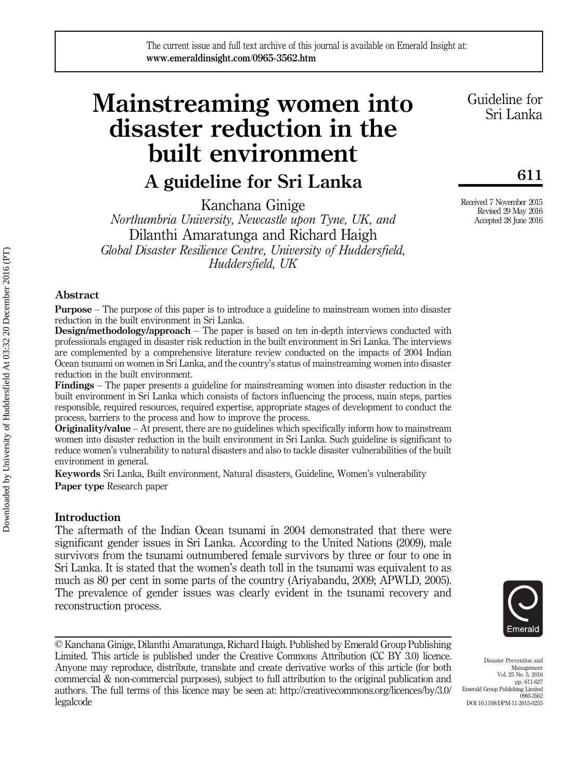# Mainstreaming women into disaster reduction in the built environment

# A guideline for Sri Lanka

Kanchana Ginige

Northumbria University, Newcastle upon Tyne, UK, and Dilanthi Amaratunga and Richard Haigh Global Disaster Resilience Centre, University of Huddersfield, Huddersfield, UK

## Abstract

**Purpose** – The purpose of this paper is to introduce a guideline to mainstream women into disaster reduction in the built environment in Sri Lanka.

Design/methodology/approach – The paper is based on ten in-depth interviews conducted with professionals engaged in disaster risk reduction in the built environment in Sri Lanka. The interviews are complemented by a comprehensive literature review conducted on the impacts of 2004 Indian Ocean tsunami on women in Sri Lanka, and the country's status of mainstreaming women into disaster reduction in the built environment.

Findings – The paper presents a guideline for mainstreaming women into disaster reduction in the built environment in Sri Lanka which consists of factors influencing the process, main steps, parties responsible, required resources, required expertise, appropriate stages of development to conduct the process, barriers to the process and how to improve the process.

Originality/value – At present, there are no guidelines which specifically inform how to mainstream women into disaster reduction in the built environment in Sri Lanka. Such guideline is significant to reduce women's vulnerability to natural disasters and also to tackle disaster vulnerabilities of the built environment in general.

Keywords Sri Lanka, Built environment, Natural disasters, Guideline, Women's vulnerability Paper type Research paper

## Introduction

The aftermath of the Indian Ocean tsunami in 2004 demonstrated that there were significant gender issues in Sri Lanka. According to the United Nations (2009), male survivors from the tsunami outnumbered female survivors by three or four to one in Sri Lanka. It is stated that the women's death toll in the tsunami was equivalent to as much as 80 per cent in some parts of the country (Ariyabandu, 2009; APWLD, 2005). The prevalence of gender issues was clearly evident in the tsunami recovery and reconstruction process.

© Kanchana Ginige, Dilanthi Amaratunga, Richard Haigh. Published by Emerald Group Publishing Limited. This article is published under the Creative Commons Attribution (CC BY 3.0) licence. Anyone may reproduce, distribute, translate and create derivative works of this article (for both commercial & non-commercial purposes), subject to full attribution to the original publication and authors. The full terms of this licence may be seen at: http://creativecommons.org/licences/by/3.0/ legalcode

Guideline for Sri Lanka

611

Received 7 November 2015 Revised 29 May 2016 Accepted 28 June 2016



Disaster Prevention and Management Vol. 25 No. 5, 2016 pp. 611-627 Emerald Group Publishing Limited 0965-3562 DOI 10.1108/DPM-11-2015-0255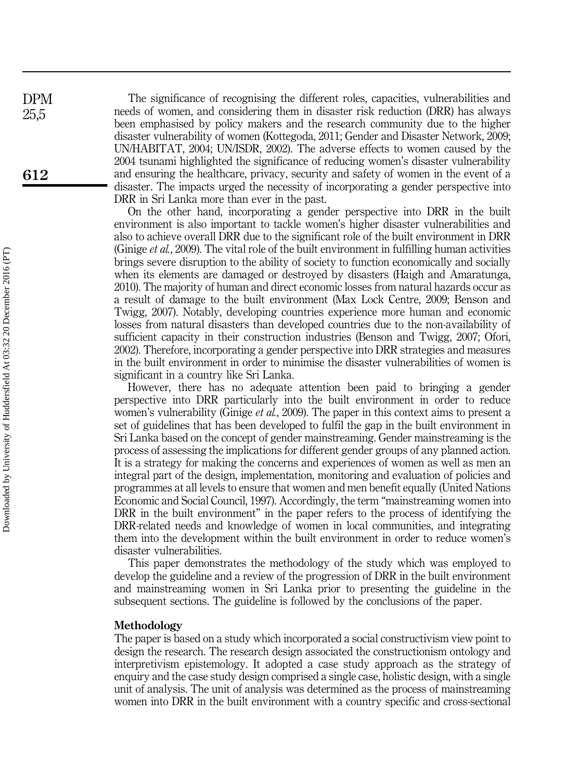The significance of recognising the different roles, capacities, vulnerabilities and needs of women, and considering them in disaster risk reduction (DRR) has always been emphasised by policy makers and the research community due to the higher disaster vulnerability of women (Kottegoda, 2011; Gender and Disaster Network, 2009; UN/HABITAT, 2004; UN/ISDR, 2002). The adverse effects to women caused by the 2004 tsunami highlighted the significance of reducing women's disaster vulnerability and ensuring the healthcare, privacy, security and safety of women in the event of a disaster. The impacts urged the necessity of incorporating a gender perspective into DRR in Sri Lanka more than ever in the past.

On the other hand, incorporating a gender perspective into DRR in the built environment is also important to tackle women's higher disaster vulnerabilities and also to achieve overall DRR due to the significant role of the built environment in DRR (Ginige *et al.*, 2009). The vital role of the built environment in fulfilling human activities brings severe disruption to the ability of society to function economically and socially when its elements are damaged or destroyed by disasters (Haigh and Amaratunga, 2010). The majority of human and direct economic losses from natural hazards occur as a result of damage to the built environment (Max Lock Centre, 2009; Benson and Twigg, 2007). Notably, developing countries experience more human and economic losses from natural disasters than developed countries due to the non-availability of sufficient capacity in their construction industries (Benson and Twigg, 2007; Ofori, 2002). Therefore, incorporating a gender perspective into DRR strategies and measures in the built environment in order to minimise the disaster vulnerabilities of women is significant in a country like Sri Lanka.

However, there has no adequate attention been paid to bringing a gender perspective into DRR particularly into the built environment in order to reduce women's vulnerability (Ginige *et al.*, 2009). The paper in this context aims to present a set of guidelines that has been developed to fulfil the gap in the built environment in Sri Lanka based on the concept of gender mainstreaming. Gender mainstreaming is the process of assessing the implications for different gender groups of any planned action. It is a strategy for making the concerns and experiences of women as well as men an integral part of the design, implementation, monitoring and evaluation of policies and programmes at all levels to ensure that women and men benefit equally (United Nations Economic and Social Council, 1997). Accordingly, the term "mainstreaming women into DRR in the built environment" in the paper refers to the process of identifying the DRR-related needs and knowledge of women in local communities, and integrating them into the development within the built environment in order to reduce women's disaster vulnerabilities.

This paper demonstrates the methodology of the study which was employed to develop the guideline and a review of the progression of DRR in the built environment and mainstreaming women in Sri Lanka prior to presenting the guideline in the subsequent sections. The guideline is followed by the conclusions of the paper.

#### Methodology

The paper is based on a study which incorporated a social constructivism view point to design the research. The research design associated the constructionism ontology and interpretivism epistemology. It adopted a case study approach as the strategy of enquiry and the case study design comprised a single case, holistic design, with a single unit of analysis. The unit of analysis was determined as the process of mainstreaming women into DRR in the built environment with a country specific and cross-sectional

612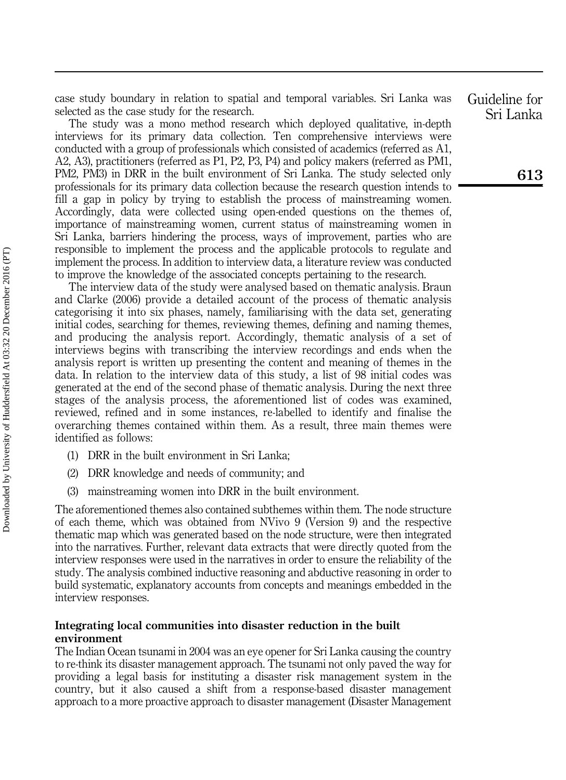case study boundary in relation to spatial and temporal variables. Sri Lanka was selected as the case study for the research.

The study was a mono method research which deployed qualitative, in-depth interviews for its primary data collection. Ten comprehensive interviews were conducted with a group of professionals which consisted of academics (referred as A1, A2, A3), practitioners (referred as P1, P2, P3, P4) and policy makers (referred as PM1, PM2, PM3) in DRR in the built environment of Sri Lanka. The study selected only professionals for its primary data collection because the research question intends to fill a gap in policy by trying to establish the process of mainstreaming women. Accordingly, data were collected using open-ended questions on the themes of, importance of mainstreaming women, current status of mainstreaming women in Sri Lanka, barriers hindering the process, ways of improvement, parties who are responsible to implement the process and the applicable protocols to regulate and implement the process. In addition to interview data, a literature review was conducted to improve the knowledge of the associated concepts pertaining to the research.

The interview data of the study were analysed based on thematic analysis. Braun and Clarke (2006) provide a detailed account of the process of thematic analysis categorising it into six phases, namely, familiarising with the data set, generating initial codes, searching for themes, reviewing themes, defining and naming themes, and producing the analysis report. Accordingly, thematic analysis of a set of interviews begins with transcribing the interview recordings and ends when the analysis report is written up presenting the content and meaning of themes in the data. In relation to the interview data of this study, a list of 98 initial codes was generated at the end of the second phase of thematic analysis. During the next three stages of the analysis process, the aforementioned list of codes was examined, reviewed, refined and in some instances, re-labelled to identify and finalise the overarching themes contained within them. As a result, three main themes were identified as follows:

- (1) DRR in the built environment in Sri Lanka;
- (2) DRR knowledge and needs of community; and
- (3) mainstreaming women into DRR in the built environment.

The aforementioned themes also contained subthemes within them. The node structure of each theme, which was obtained from NVivo 9 (Version 9) and the respective thematic map which was generated based on the node structure, were then integrated into the narratives. Further, relevant data extracts that were directly quoted from the interview responses were used in the narratives in order to ensure the reliability of the study. The analysis combined inductive reasoning and abductive reasoning in order to build systematic, explanatory accounts from concepts and meanings embedded in the interview responses.

## Integrating local communities into disaster reduction in the built environment

The Indian Ocean tsunami in 2004 was an eye opener for Sri Lanka causing the country to re-think its disaster management approach. The tsunami not only paved the way for providing a legal basis for instituting a disaster risk management system in the country, but it also caused a shift from a response-based disaster management approach to a more proactive approach to disaster management (Disaster Management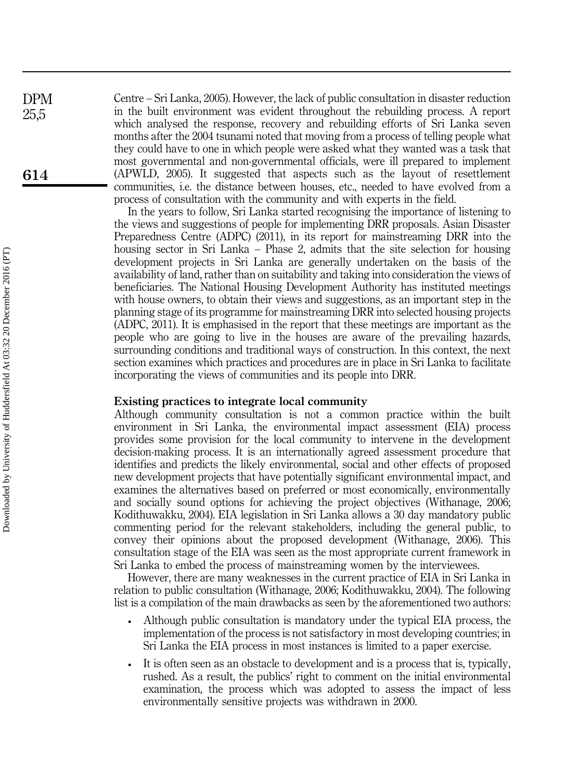Centre – Sri Lanka, 2005). However, the lack of public consultation in disaster reduction in the built environment was evident throughout the rebuilding process. A report which analysed the response, recovery and rebuilding efforts of Sri Lanka seven months after the 2004 tsunami noted that moving from a process of telling people what they could have to one in which people were asked what they wanted was a task that most governmental and non-governmental officials, were ill prepared to implement (APWLD, 2005). It suggested that aspects such as the layout of resettlement communities, i.e. the distance between houses, etc., needed to have evolved from a process of consultation with the community and with experts in the field.

In the years to follow, Sri Lanka started recognising the importance of listening to the views and suggestions of people for implementing DRR proposals. Asian Disaster Preparedness Centre (ADPC) (2011), in its report for mainstreaming DRR into the housing sector in Sri Lanka – Phase 2, admits that the site selection for housing development projects in Sri Lanka are generally undertaken on the basis of the availability of land, rather than on suitability and taking into consideration the views of beneficiaries. The National Housing Development Authority has instituted meetings with house owners, to obtain their views and suggestions, as an important step in the planning stage of its programme for mainstreaming DRR into selected housing projects (ADPC, 2011). It is emphasised in the report that these meetings are important as the people who are going to live in the houses are aware of the prevailing hazards, surrounding conditions and traditional ways of construction. In this context, the next section examines which practices and procedures are in place in Sri Lanka to facilitate incorporating the views of communities and its people into DRR.

### Existing practices to integrate local community

Although community consultation is not a common practice within the built environment in Sri Lanka, the environmental impact assessment (EIA) process provides some provision for the local community to intervene in the development decision-making process. It is an internationally agreed assessment procedure that identifies and predicts the likely environmental, social and other effects of proposed new development projects that have potentially significant environmental impact, and examines the alternatives based on preferred or most economically, environmentally and socially sound options for achieving the project objectives (Withanage, 2006; Kodithuwakku, 2004). EIA legislation in Sri Lanka allows a 30 day mandatory public commenting period for the relevant stakeholders, including the general public, to convey their opinions about the proposed development (Withanage, 2006). This consultation stage of the EIA was seen as the most appropriate current framework in Sri Lanka to embed the process of mainstreaming women by the interviewees.

However, there are many weaknesses in the current practice of EIA in Sri Lanka in relation to public consultation (Withanage, 2006; Kodithuwakku, 2004). The following list is a compilation of the main drawbacks as seen by the aforementioned two authors:

- Although public consultation is mandatory under the typical EIA process, the implementation of the process is not satisfactory in most developing countries; in Sri Lanka the EIA process in most instances is limited to a paper exercise.
- It is often seen as an obstacle to development and is a process that is, typically, rushed. As a result, the publics' right to comment on the initial environmental examination, the process which was adopted to assess the impact of less environmentally sensitive projects was withdrawn in 2000.

614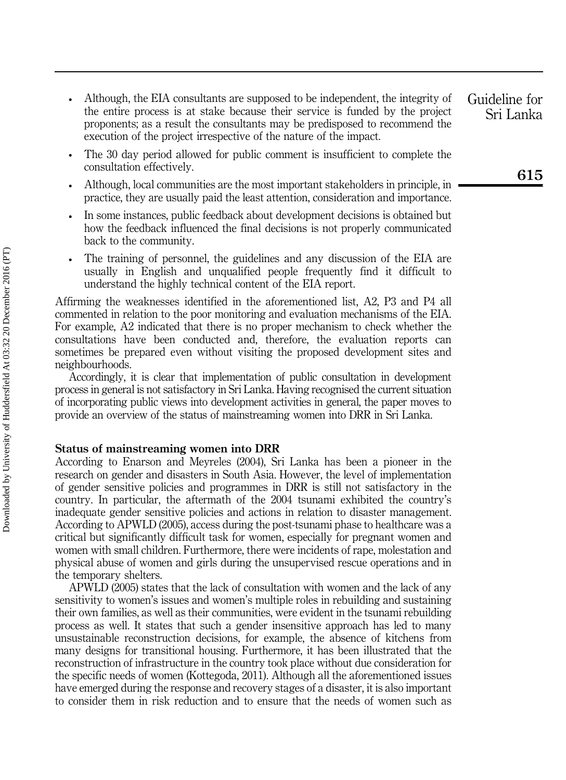- Although, the EIA consultants are supposed to be independent, the integrity of the entire process is at stake because their service is funded by the project proponents; as a result the consultants may be predisposed to recommend the execution of the project irrespective of the nature of the impact.
- The 30 day period allowed for public comment is insufficient to complete the consultation effectively.
- Although, local communities are the most important stakeholders in principle, in practice, they are usually paid the least attention, consideration and importance.
- In some instances, public feedback about development decisions is obtained but how the feedback influenced the final decisions is not properly communicated back to the community.
- The training of personnel, the guidelines and any discussion of the EIA are usually in English and unqualified people frequently find it difficult to understand the highly technical content of the EIA report.

Affirming the weaknesses identified in the aforementioned list, A2, P3 and P4 all commented in relation to the poor monitoring and evaluation mechanisms of the EIA. For example, A2 indicated that there is no proper mechanism to check whether the consultations have been conducted and, therefore, the evaluation reports can sometimes be prepared even without visiting the proposed development sites and neighbourhoods.

Accordingly, it is clear that implementation of public consultation in development process in general is not satisfactory in Sri Lanka. Having recognised the current situation of incorporating public views into development activities in general, the paper moves to provide an overview of the status of mainstreaming women into DRR in Sri Lanka.

#### Status of mainstreaming women into DRR

According to Enarson and Meyreles (2004), Sri Lanka has been a pioneer in the research on gender and disasters in South Asia. However, the level of implementation of gender sensitive policies and programmes in DRR is still not satisfactory in the country. In particular, the aftermath of the 2004 tsunami exhibited the country's inadequate gender sensitive policies and actions in relation to disaster management. According to APWLD (2005), access during the post-tsunami phase to healthcare was a critical but significantly difficult task for women, especially for pregnant women and women with small children. Furthermore, there were incidents of rape, molestation and physical abuse of women and girls during the unsupervised rescue operations and in the temporary shelters.

APWLD (2005) states that the lack of consultation with women and the lack of any sensitivity to women's issues and women's multiple roles in rebuilding and sustaining their own families, as well as their communities, were evident in the tsunami rebuilding process as well. It states that such a gender insensitive approach has led to many unsustainable reconstruction decisions, for example, the absence of kitchens from many designs for transitional housing. Furthermore, it has been illustrated that the reconstruction of infrastructure in the country took place without due consideration for the specific needs of women (Kottegoda, 2011). Although all the aforementioned issues have emerged during the response and recovery stages of a disaster, it is also important to consider them in risk reduction and to ensure that the needs of women such as Guideline for Sri Lanka

615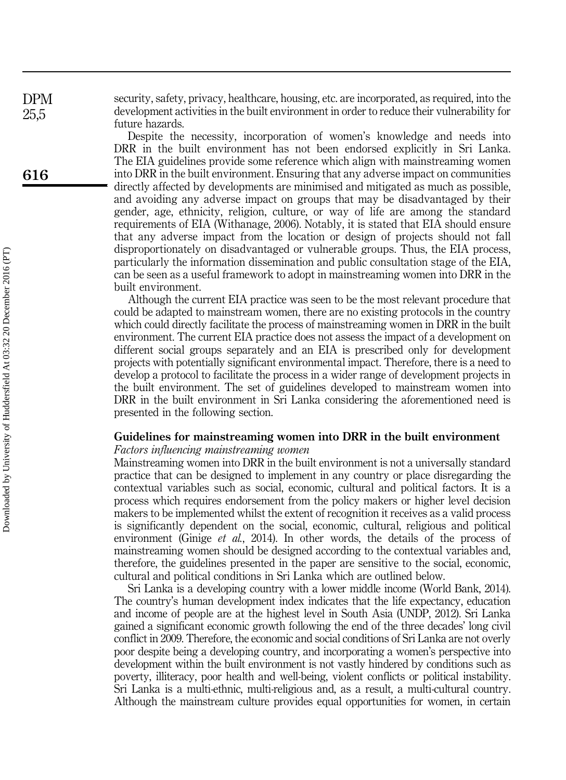security, safety, privacy, healthcare, housing, etc. are incorporated, as required, into the development activities in the built environment in order to reduce their vulnerability for future hazards.

Despite the necessity, incorporation of women's knowledge and needs into DRR in the built environment has not been endorsed explicitly in Sri Lanka. The EIA guidelines provide some reference which align with mainstreaming women into DRR in the built environment. Ensuring that any adverse impact on communities directly affected by developments are minimised and mitigated as much as possible, and avoiding any adverse impact on groups that may be disadvantaged by their gender, age, ethnicity, religion, culture, or way of life are among the standard requirements of EIA (Withanage, 2006). Notably, it is stated that EIA should ensure that any adverse impact from the location or design of projects should not fall disproportionately on disadvantaged or vulnerable groups. Thus, the EIA process, particularly the information dissemination and public consultation stage of the EIA, can be seen as a useful framework to adopt in mainstreaming women into DRR in the built environment.

Although the current EIA practice was seen to be the most relevant procedure that could be adapted to mainstream women, there are no existing protocols in the country which could directly facilitate the process of mainstreaming women in DRR in the built environment. The current EIA practice does not assess the impact of a development on different social groups separately and an EIA is prescribed only for development projects with potentially significant environmental impact. Therefore, there is a need to develop a protocol to facilitate the process in a wider range of development projects in the built environment. The set of guidelines developed to mainstream women into DRR in the built environment in Sri Lanka considering the aforementioned need is presented in the following section.

## Guidelines for mainstreaming women into DRR in the built environment Factors influencing mainstreaming women

Mainstreaming women into DRR in the built environment is not a universally standard practice that can be designed to implement in any country or place disregarding the contextual variables such as social, economic, cultural and political factors. It is a process which requires endorsement from the policy makers or higher level decision makers to be implemented whilst the extent of recognition it receives as a valid process is significantly dependent on the social, economic, cultural, religious and political environment (Ginige et al., 2014). In other words, the details of the process of mainstreaming women should be designed according to the contextual variables and, therefore, the guidelines presented in the paper are sensitive to the social, economic, cultural and political conditions in Sri Lanka which are outlined below.

Sri Lanka is a developing country with a lower middle income (World Bank, 2014). The country's human development index indicates that the life expectancy, education and income of people are at the highest level in South Asia (UNDP, 2012). Sri Lanka gained a significant economic growth following the end of the three decades' long civil conflict in 2009. Therefore, the economic and social conditions of Sri Lanka are not overly poor despite being a developing country, and incorporating a women's perspective into development within the built environment is not vastly hindered by conditions such as poverty, illiteracy, poor health and well-being, violent conflicts or political instability. Sri Lanka is a multi-ethnic, multi-religious and, as a result, a multi-cultural country. Although the mainstream culture provides equal opportunities for women, in certain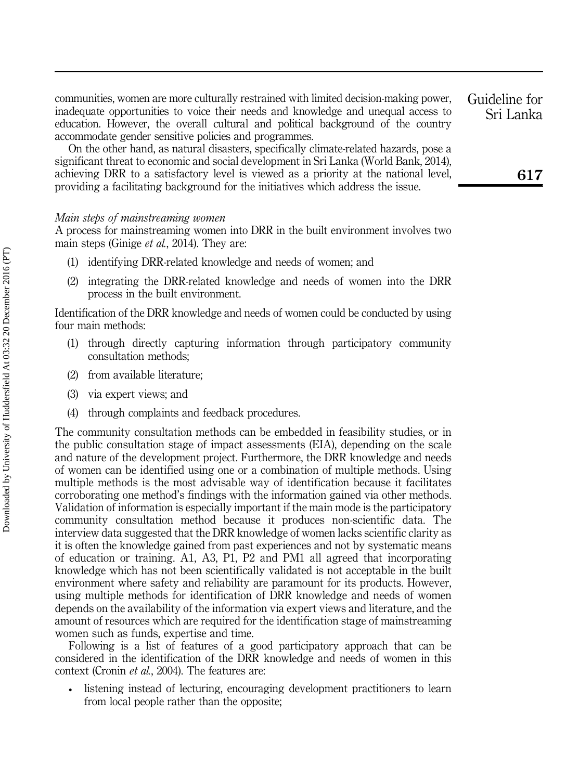communities, women are more culturally restrained with limited decision-making power, inadequate opportunities to voice their needs and knowledge and unequal access to education. However, the overall cultural and political background of the country accommodate gender sensitive policies and programmes.

On the other hand, as natural disasters, specifically climate-related hazards, pose a significant threat to economic and social development in Sri Lanka (World Bank, 2014), achieving DRR to a satisfactory level is viewed as a priority at the national level, providing a facilitating background for the initiatives which address the issue.

#### Main steps of mainstreaming women

A process for mainstreaming women into DRR in the built environment involves two main steps (Ginige *et al.*, 2014). They are:

- (1) identifying DRR-related knowledge and needs of women; and
- (2) integrating the DRR-related knowledge and needs of women into the DRR process in the built environment.

Identification of the DRR knowledge and needs of women could be conducted by using four main methods:

- (1) through directly capturing information through participatory community consultation methods;
- (2) from available literature;
- (3) via expert views; and
- (4) through complaints and feedback procedures.

The community consultation methods can be embedded in feasibility studies, or in the public consultation stage of impact assessments (EIA), depending on the scale and nature of the development project. Furthermore, the DRR knowledge and needs of women can be identified using one or a combination of multiple methods. Using multiple methods is the most advisable way of identification because it facilitates corroborating one method's findings with the information gained via other methods. Validation of information is especially important if the main mode is the participatory community consultation method because it produces non-scientific data. The interview data suggested that the DRR knowledge of women lacks scientific clarity as it is often the knowledge gained from past experiences and not by systematic means of education or training. A1, A3, P1, P2 and PM1 all agreed that incorporating knowledge which has not been scientifically validated is not acceptable in the built environment where safety and reliability are paramount for its products. However, using multiple methods for identification of DRR knowledge and needs of women depends on the availability of the information via expert views and literature, and the amount of resources which are required for the identification stage of mainstreaming women such as funds, expertise and time.

Following is a list of features of a good participatory approach that can be considered in the identification of the DRR knowledge and needs of women in this context (Cronin *et al.*, 2004). The features are:

listening instead of lecturing, encouraging development practitioners to learn from local people rather than the opposite;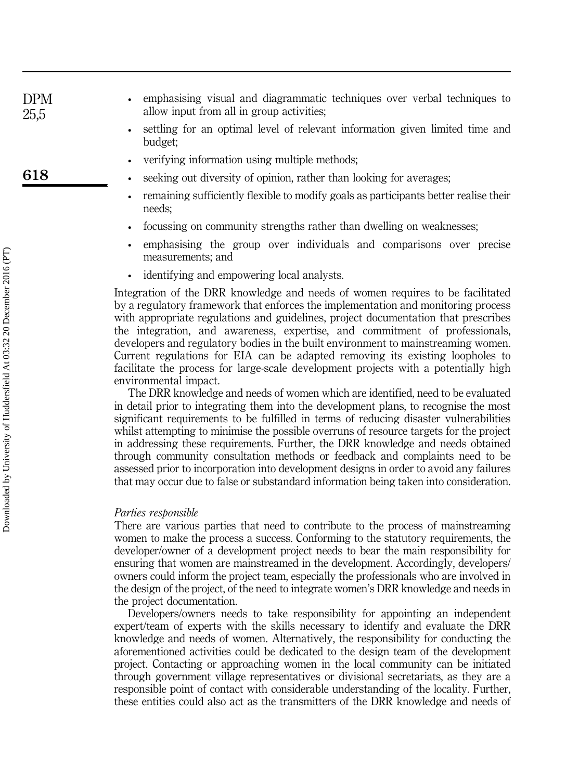| <b>DPM</b><br>25,5 | emphasising visual and diagrammatic techniques over verbal techniques to<br>allow input from all in group activities;                                                                                                                                                                                                                                                                                                                                                                                                                                                                                                                                                                                                 |
|--------------------|-----------------------------------------------------------------------------------------------------------------------------------------------------------------------------------------------------------------------------------------------------------------------------------------------------------------------------------------------------------------------------------------------------------------------------------------------------------------------------------------------------------------------------------------------------------------------------------------------------------------------------------------------------------------------------------------------------------------------|
|                    | settling for an optimal level of relevant information given limited time and<br>budget;                                                                                                                                                                                                                                                                                                                                                                                                                                                                                                                                                                                                                               |
|                    | verifying information using multiple methods;                                                                                                                                                                                                                                                                                                                                                                                                                                                                                                                                                                                                                                                                         |
| 618                | seeking out diversity of opinion, rather than looking for averages;                                                                                                                                                                                                                                                                                                                                                                                                                                                                                                                                                                                                                                                   |
|                    | remaining sufficiently flexible to modify goals as participants better realise their<br>needs;                                                                                                                                                                                                                                                                                                                                                                                                                                                                                                                                                                                                                        |
|                    | focussing on community strengths rather than dwelling on weaknesses;                                                                                                                                                                                                                                                                                                                                                                                                                                                                                                                                                                                                                                                  |
|                    | emphasising the group over individuals and comparisons over precise<br>measurements: and                                                                                                                                                                                                                                                                                                                                                                                                                                                                                                                                                                                                                              |
|                    | identifying and empowering local analysts.                                                                                                                                                                                                                                                                                                                                                                                                                                                                                                                                                                                                                                                                            |
|                    | Integration of the DRR knowledge and needs of women requires to be facilitated<br>by a regulatory framework that enforces the implementation and monitoring process<br>with appropriate regulations and guidelines, project documentation that prescribes<br>the integration, and awareness, expertise, and commitment of professionals,<br>developers and regulatory bodies in the built environment to mainstreaming women.<br>Current regulations for EIA can be adapted removing its existing loopholes to<br>facilitate the process for large-scale development projects with a potentially high<br>environmental impact.                                                                                        |
|                    | The DRR knowledge and needs of women which are identified, need to be evaluated<br>in detail prior to integrating them into the development plans, to recognise the most<br>significant requirements to be fulfilled in terms of reducing disaster vulnerabilities<br>whilst attempting to minimise the possible overruns of resource targets for the project<br>in addressing these requirements. Further, the DRR knowledge and needs obtained<br>through community consultation methods or feedback and complaints need to be<br>assessed prior to incorporation into development designs in order to avoid any failures<br>that may occur due to false or substandard information being taken into consideration. |
|                    | Parties responsible                                                                                                                                                                                                                                                                                                                                                                                                                                                                                                                                                                                                                                                                                                   |

There are various parties that need to contribute to the process of mainstreaming women to make the process a success. Conforming to the statutory requirements, the developer/owner of a development project needs to bear the main responsibility for ensuring that women are mainstreamed in the development. Accordingly, developers/ owners could inform the project team, especially the professionals who are involved in the design of the project, of the need to integrate women's DRR knowledge and needs in the project documentation.

Developers/owners needs to take responsibility for appointing an independent expert/team of experts with the skills necessary to identify and evaluate the DRR knowledge and needs of women. Alternatively, the responsibility for conducting the aforementioned activities could be dedicated to the design team of the development project. Contacting or approaching women in the local community can be initiated through government village representatives or divisional secretariats, as they are a responsible point of contact with considerable understanding of the locality. Further, these entities could also act as the transmitters of the DRR knowledge and needs of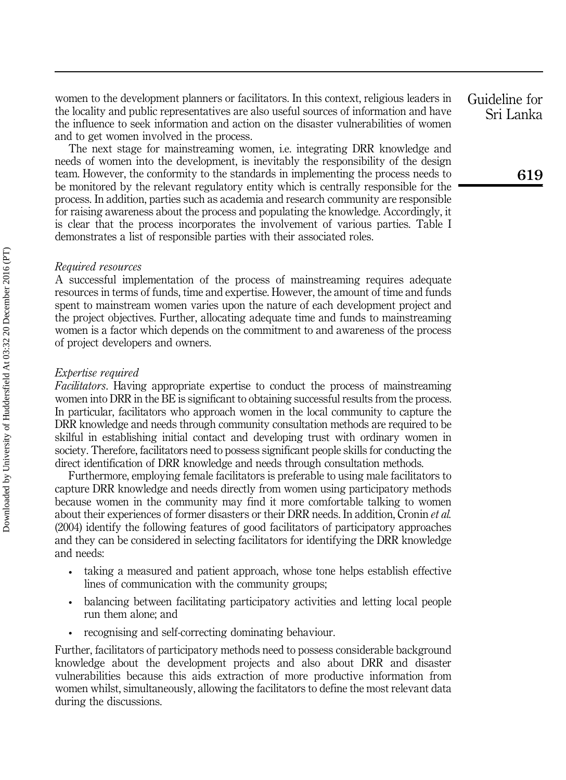women to the development planners or facilitators. In this context, religious leaders in the locality and public representatives are also useful sources of information and have the influence to seek information and action on the disaster vulnerabilities of women and to get women involved in the process.

The next stage for mainstreaming women, i.e. integrating DRR knowledge and needs of women into the development, is inevitably the responsibility of the design team. However, the conformity to the standards in implementing the process needs to be monitored by the relevant regulatory entity which is centrally responsible for the process. In addition, parties such as academia and research community are responsible for raising awareness about the process and populating the knowledge. Accordingly, it is clear that the process incorporates the involvement of various parties. Table I demonstrates a list of responsible parties with their associated roles.

#### Required resources

A successful implementation of the process of mainstreaming requires adequate resources in terms of funds, time and expertise. However, the amount of time and funds spent to mainstream women varies upon the nature of each development project and the project objectives. Further, allocating adequate time and funds to mainstreaming women is a factor which depends on the commitment to and awareness of the process of project developers and owners.

#### Expertise required

Facilitators. Having appropriate expertise to conduct the process of mainstreaming women into DRR in the BE is significant to obtaining successful results from the process. In particular, facilitators who approach women in the local community to capture the DRR knowledge and needs through community consultation methods are required to be skilful in establishing initial contact and developing trust with ordinary women in society. Therefore, facilitators need to possess significant people skills for conducting the direct identification of DRR knowledge and needs through consultation methods.

Furthermore, employing female facilitators is preferable to using male facilitators to capture DRR knowledge and needs directly from women using participatory methods because women in the community may find it more comfortable talking to women about their experiences of former disasters or their DRR needs. In addition, Cronin et al. (2004) identify the following features of good facilitators of participatory approaches and they can be considered in selecting facilitators for identifying the DRR knowledge and needs:

- taking a measured and patient approach, whose tone helps establish effective lines of communication with the community groups;
- balancing between facilitating participatory activities and letting local people run them alone; and
- recognising and self-correcting dominating behaviour.

Further, facilitators of participatory methods need to possess considerable background knowledge about the development projects and also about DRR and disaster vulnerabilities because this aids extraction of more productive information from women whilst, simultaneously, allowing the facilitators to define the most relevant data during the discussions.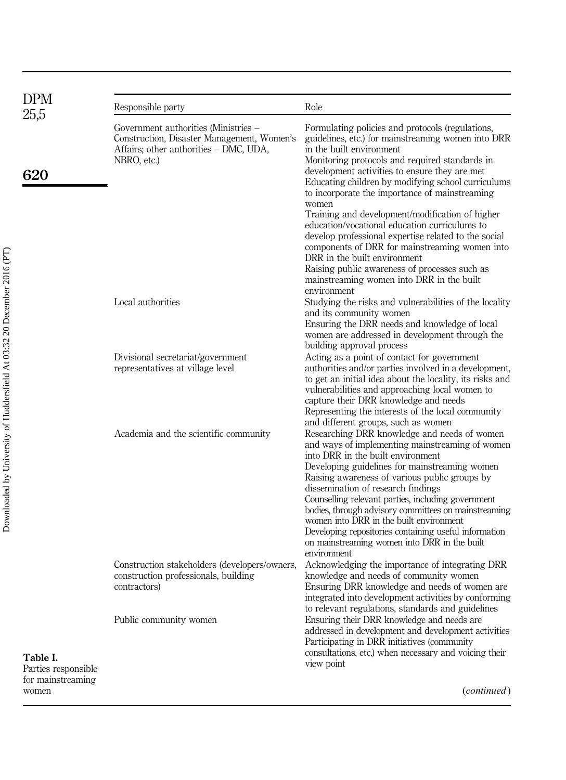| DPM<br>25,5                     | Responsible party                                                                                                                           | Role                                                                                                                                                                                                                                                                                                                                                                                                                                                                                                                                                          |  |  |
|---------------------------------|---------------------------------------------------------------------------------------------------------------------------------------------|---------------------------------------------------------------------------------------------------------------------------------------------------------------------------------------------------------------------------------------------------------------------------------------------------------------------------------------------------------------------------------------------------------------------------------------------------------------------------------------------------------------------------------------------------------------|--|--|
| 620                             | Government authorities (Ministries –<br>Construction, Disaster Management, Women's<br>Affairs; other authorities - DMC, UDA,<br>NBRO, etc.) | Formulating policies and protocols (regulations,<br>guidelines, etc.) for mainstreaming women into DRR<br>in the built environment<br>Monitoring protocols and required standards in<br>development activities to ensure they are met<br>Educating children by modifying school curriculums                                                                                                                                                                                                                                                                   |  |  |
|                                 |                                                                                                                                             | to incorporate the importance of mainstreaming<br>women<br>Training and development/modification of higher<br>education/vocational education curriculums to<br>develop professional expertise related to the social<br>components of DRR for mainstreaming women into<br>DRR in the built environment<br>Raising public awareness of processes such as<br>mainstreaming women into DRR in the built<br>environment                                                                                                                                            |  |  |
|                                 | Local authorities                                                                                                                           | Studying the risks and vulnerabilities of the locality<br>and its community women<br>Ensuring the DRR needs and knowledge of local<br>women are addressed in development through the<br>building approval process                                                                                                                                                                                                                                                                                                                                             |  |  |
|                                 | Divisional secretariat/government<br>representatives at village level                                                                       | Acting as a point of contact for government<br>authorities and/or parties involved in a development,<br>to get an initial idea about the locality, its risks and<br>vulnerabilities and approaching local women to<br>capture their DRR knowledge and needs<br>Representing the interests of the local community<br>and different groups, such as women                                                                                                                                                                                                       |  |  |
|                                 | Academia and the scientific community                                                                                                       | Researching DRR knowledge and needs of women<br>and ways of implementing mainstreaming of women<br>into DRR in the built environment<br>Developing guidelines for mainstreaming women<br>Raising awareness of various public groups by<br>dissemination of research findings<br>Counselling relevant parties, including government<br>bodies, through advisory committees on mainstreaming<br>women into DRR in the built environment<br>Developing repositories containing useful information<br>on mainstreaming women into DRR in the built<br>environment |  |  |
|                                 | Construction stakeholders (developers/owners,<br>construction professionals, building<br>contractors)                                       | Acknowledging the importance of integrating DRR<br>knowledge and needs of community women<br>Ensuring DRR knowledge and needs of women are<br>integrated into development activities by conforming<br>to relevant regulations, standards and guidelines                                                                                                                                                                                                                                                                                                       |  |  |
| Table I.<br>Parties responsible | Public community women                                                                                                                      | Ensuring their DRR knowledge and needs are<br>addressed in development and development activities<br>Participating in DRR initiatives (community<br>consultations, etc.) when necessary and voicing their<br>view point                                                                                                                                                                                                                                                                                                                                       |  |  |
| for mainstreaming<br>women      |                                                                                                                                             | (continued)                                                                                                                                                                                                                                                                                                                                                                                                                                                                                                                                                   |  |  |

(continued )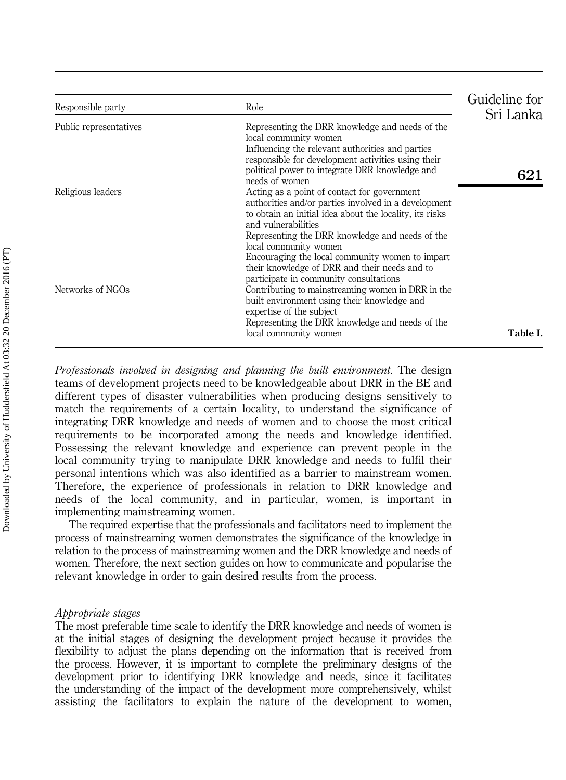| Responsible party      | Role                                                                                                                                       | Guideline for<br>Sri Lanka |
|------------------------|--------------------------------------------------------------------------------------------------------------------------------------------|----------------------------|
| Public representatives | Representing the DRR knowledge and needs of the                                                                                            |                            |
|                        | local community women                                                                                                                      |                            |
|                        | Influencing the relevant authorities and parties<br>responsible for development activities using their                                     |                            |
|                        | political power to integrate DRR knowledge and<br>needs of women                                                                           |                            |
| Religious leaders      | Acting as a point of contact for government<br>authorities and/or parties involved in a development                                        |                            |
|                        | to obtain an initial idea about the locality, its risks<br>and vulnerabilities                                                             |                            |
|                        | Representing the DRR knowledge and needs of the<br>local community women                                                                   |                            |
|                        | Encouraging the local community women to impart<br>their knowledge of DRR and their needs and to<br>participate in community consultations |                            |
| Networks of NGOs       | Contributing to mainstreaming women in DRR in the<br>built environment using their knowledge and<br>expertise of the subject               |                            |
|                        | Representing the DRR knowledge and needs of the<br>local community women                                                                   | Table I.                   |

Professionals involved in designing and planning the built environment. The design teams of development projects need to be knowledgeable about DRR in the BE and different types of disaster vulnerabilities when producing designs sensitively to match the requirements of a certain locality, to understand the significance of integrating DRR knowledge and needs of women and to choose the most critical requirements to be incorporated among the needs and knowledge identified. Possessing the relevant knowledge and experience can prevent people in the local community trying to manipulate DRR knowledge and needs to fulfil their personal intentions which was also identified as a barrier to mainstream women. Therefore, the experience of professionals in relation to DRR knowledge and needs of the local community, and in particular, women, is important in implementing mainstreaming women.

The required expertise that the professionals and facilitators need to implement the process of mainstreaming women demonstrates the significance of the knowledge in relation to the process of mainstreaming women and the DRR knowledge and needs of women. Therefore, the next section guides on how to communicate and popularise the relevant knowledge in order to gain desired results from the process.

#### Appropriate stages

The most preferable time scale to identify the DRR knowledge and needs of women is at the initial stages of designing the development project because it provides the flexibility to adjust the plans depending on the information that is received from the process. However, it is important to complete the preliminary designs of the development prior to identifying DRR knowledge and needs, since it facilitates the understanding of the impact of the development more comprehensively, whilst assisting the facilitators to explain the nature of the development to women,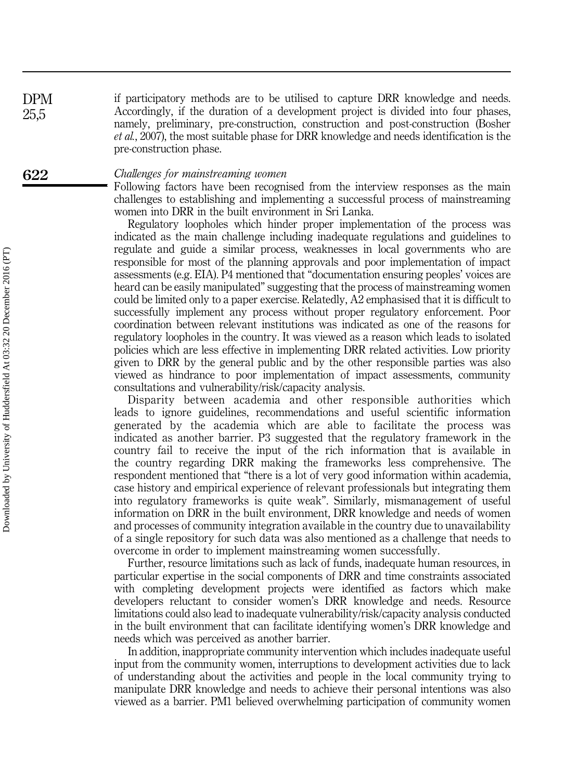if participatory methods are to be utilised to capture DRR knowledge and needs. Accordingly, if the duration of a development project is divided into four phases, namely, preliminary, pre-construction, construction and post-construction (Bosher et al., 2007), the most suitable phase for DRR knowledge and needs identification is the pre-construction phase.

#### Challenges for mainstreaming women

Following factors have been recognised from the interview responses as the main challenges to establishing and implementing a successful process of mainstreaming women into DRR in the built environment in Sri Lanka.

Regulatory loopholes which hinder proper implementation of the process was indicated as the main challenge including inadequate regulations and guidelines to regulate and guide a similar process, weaknesses in local governments who are responsible for most of the planning approvals and poor implementation of impact assessments (e.g. EIA). P4 mentioned that "documentation ensuring peoples' voices are heard can be easily manipulated" suggesting that the process of mainstreaming women could be limited only to a paper exercise. Relatedly, A2 emphasised that it is difficult to successfully implement any process without proper regulatory enforcement. Poor coordination between relevant institutions was indicated as one of the reasons for regulatory loopholes in the country. It was viewed as a reason which leads to isolated policies which are less effective in implementing DRR related activities. Low priority given to DRR by the general public and by the other responsible parties was also viewed as hindrance to poor implementation of impact assessments, community consultations and vulnerability/risk/capacity analysis.

Disparity between academia and other responsible authorities which leads to ignore guidelines, recommendations and useful scientific information generated by the academia which are able to facilitate the process was indicated as another barrier. P3 suggested that the regulatory framework in the country fail to receive the input of the rich information that is available in the country regarding DRR making the frameworks less comprehensive. The respondent mentioned that "there is a lot of very good information within academia, case history and empirical experience of relevant professionals but integrating them into regulatory frameworks is quite weak". Similarly, mismanagement of useful information on DRR in the built environment, DRR knowledge and needs of women and processes of community integration available in the country due to unavailability of a single repository for such data was also mentioned as a challenge that needs to overcome in order to implement mainstreaming women successfully.

Further, resource limitations such as lack of funds, inadequate human resources, in particular expertise in the social components of DRR and time constraints associated with completing development projects were identified as factors which make developers reluctant to consider women's DRR knowledge and needs. Resource limitations could also lead to inadequate vulnerability/risk/capacity analysis conducted in the built environment that can facilitate identifying women's DRR knowledge and needs which was perceived as another barrier.

In addition, inappropriate community intervention which includes inadequate useful input from the community women, interruptions to development activities due to lack of understanding about the activities and people in the local community trying to manipulate DRR knowledge and needs to achieve their personal intentions was also viewed as a barrier. PM1 believed overwhelming participation of community women

622

DPM 25,5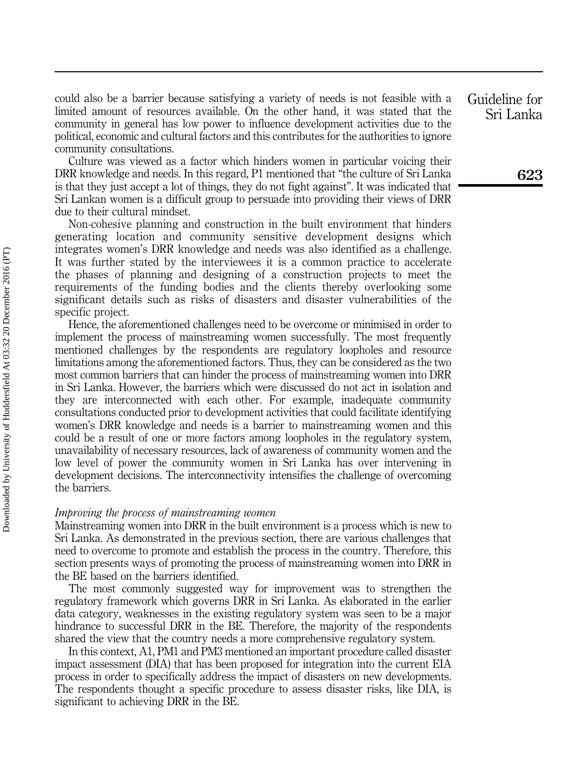could also be a barrier because satisfying a variety of needs is not feasible with a limited amount of resources available. On the other hand, it was stated that the community in general has low power to influence development activities due to the political, economic and cultural factors and this contributes for the authorities to ignore community consultations.

Culture was viewed as a factor which hinders women in particular voicing their DRR knowledge and needs. In this regard, P1 mentioned that "the culture of Sri Lanka is that they just accept a lot of things, they do not fight against". It was indicated that Sri Lankan women is a difficult group to persuade into providing their views of DRR due to their cultural mindset.

Non-cohesive planning and construction in the built environment that hinders generating location and community sensitive development designs which integrates women's DRR knowledge and needs was also identified as a challenge. It was further stated by the interviewees it is a common practice to accelerate the phases of planning and designing of a construction projects to meet the requirements of the funding bodies and the clients thereby overlooking some significant details such as risks of disasters and disaster vulnerabilities of the specific project.

Hence, the aforementioned challenges need to be overcome or minimised in order to implement the process of mainstreaming women successfully. The most frequently mentioned challenges by the respondents are regulatory loopholes and resource limitations among the aforementioned factors. Thus, they can be considered as the two most common barriers that can hinder the process of mainstreaming women into DRR in Sri Lanka. However, the barriers which were discussed do not act in isolation and they are interconnected with each other. For example, inadequate community consultations conducted prior to development activities that could facilitate identifying women's DRR knowledge and needs is a barrier to mainstreaming women and this could be a result of one or more factors among loopholes in the regulatory system, unavailability of necessary resources, lack of awareness of community women and the low level of power the community women in Sri Lanka has over intervening in development decisions. The interconnectivity intensifies the challenge of overcoming the barriers.

#### Improving the process of mainstreaming women

Mainstreaming women into DRR in the built environment is a process which is new to Sri Lanka. As demonstrated in the previous section, there are various challenges that need to overcome to promote and establish the process in the country. Therefore, this section presents ways of promoting the process of mainstreaming women into DRR in the BE based on the barriers identified.

The most commonly suggested way for improvement was to strengthen the regulatory framework which governs DRR in Sri Lanka. As elaborated in the earlier data category, weaknesses in the existing regulatory system was seen to be a major hindrance to successful DRR in the BE. Therefore, the majority of the respondents shared the view that the country needs a more comprehensive regulatory system.

In this context, A1, PM1 and PM3 mentioned an important procedure called disaster impact assessment (DIA) that has been proposed for integration into the current EIA process in order to specifically address the impact of disasters on new developments. The respondents thought a specific procedure to assess disaster risks, like DIA, is significant to achieving DRR in the BE.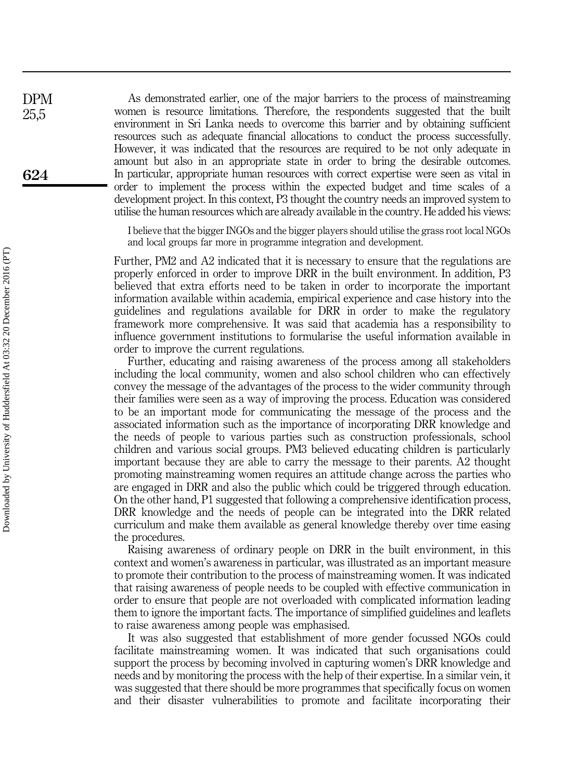As demonstrated earlier, one of the major barriers to the process of mainstreaming women is resource limitations. Therefore, the respondents suggested that the built environment in Sri Lanka needs to overcome this barrier and by obtaining sufficient resources such as adequate financial allocations to conduct the process successfully. However, it was indicated that the resources are required to be not only adequate in amount but also in an appropriate state in order to bring the desirable outcomes. In particular, appropriate human resources with correct expertise were seen as vital in order to implement the process within the expected budget and time scales of a development project. In this context, P3 thought the country needs an improved system to utilise the human resources which are already available in the country. He added his views:

I believe that the bigger INGOs and the bigger players should utilise the grass root local NGOs and local groups far more in programme integration and development.

Further, PM2 and A2 indicated that it is necessary to ensure that the regulations are properly enforced in order to improve DRR in the built environment. In addition, P3 believed that extra efforts need to be taken in order to incorporate the important information available within academia, empirical experience and case history into the guidelines and regulations available for DRR in order to make the regulatory framework more comprehensive. It was said that academia has a responsibility to influence government institutions to formularise the useful information available in order to improve the current regulations.

Further, educating and raising awareness of the process among all stakeholders including the local community, women and also school children who can effectively convey the message of the advantages of the process to the wider community through their families were seen as a way of improving the process. Education was considered to be an important mode for communicating the message of the process and the associated information such as the importance of incorporating DRR knowledge and the needs of people to various parties such as construction professionals, school children and various social groups. PM3 believed educating children is particularly important because they are able to carry the message to their parents. A2 thought promoting mainstreaming women requires an attitude change across the parties who are engaged in DRR and also the public which could be triggered through education. On the other hand, P1 suggested that following a comprehensive identification process, DRR knowledge and the needs of people can be integrated into the DRR related curriculum and make them available as general knowledge thereby over time easing the procedures.

Raising awareness of ordinary people on DRR in the built environment, in this context and women's awareness in particular, was illustrated as an important measure to promote their contribution to the process of mainstreaming women. It was indicated that raising awareness of people needs to be coupled with effective communication in order to ensure that people are not overloaded with complicated information leading them to ignore the important facts. The importance of simplified guidelines and leaflets to raise awareness among people was emphasised.

It was also suggested that establishment of more gender focussed NGOs could facilitate mainstreaming women. It was indicated that such organisations could support the process by becoming involved in capturing women's DRR knowledge and needs and by monitoring the process with the help of their expertise. In a similar vein, it was suggested that there should be more programmes that specifically focus on women and their disaster vulnerabilities to promote and facilitate incorporating their

624

DPM 25,5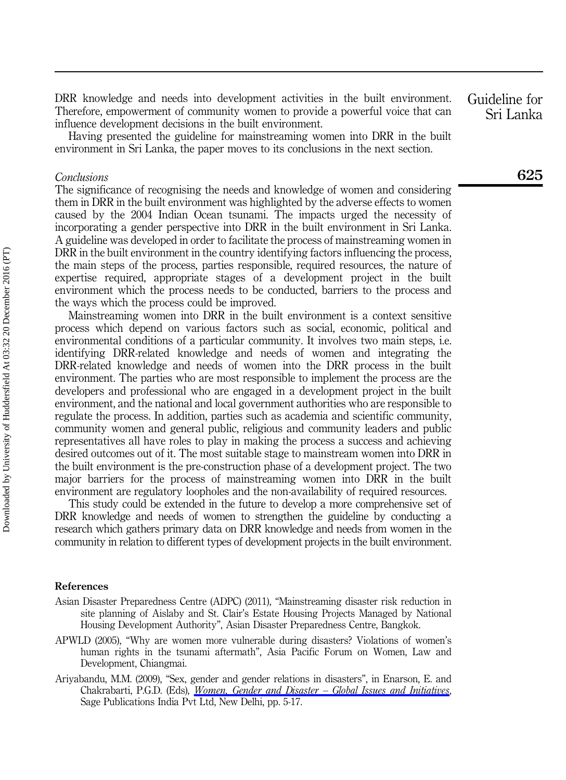DRR knowledge and needs into development activities in the built environment. Therefore, empowerment of community women to provide a powerful voice that can influence development decisions in the built environment.

Having presented the guideline for mainstreaming women into DRR in the built environment in Sri Lanka, the paper moves to its conclusions in the next section.

#### Conclusions

The significance of recognising the needs and knowledge of women and considering them in DRR in the built environment was highlighted by the adverse effects to women caused by the 2004 Indian Ocean tsunami. The impacts urged the necessity of incorporating a gender perspective into DRR in the built environment in Sri Lanka. A guideline was developed in order to facilitate the process of mainstreaming women in DRR in the built environment in the country identifying factors influencing the process, the main steps of the process, parties responsible, required resources, the nature of expertise required, appropriate stages of a development project in the built environment which the process needs to be conducted, barriers to the process and the ways which the process could be improved.

Mainstreaming women into DRR in the built environment is a context sensitive process which depend on various factors such as social, economic, political and environmental conditions of a particular community. It involves two main steps, i.e. identifying DRR-related knowledge and needs of women and integrating the DRR-related knowledge and needs of women into the DRR process in the built environment. The parties who are most responsible to implement the process are the developers and professional who are engaged in a development project in the built environment, and the national and local government authorities who are responsible to regulate the process. In addition, parties such as academia and scientific community, community women and general public, religious and community leaders and public representatives all have roles to play in making the process a success and achieving desired outcomes out of it. The most suitable stage to mainstream women into DRR in the built environment is the pre-construction phase of a development project. The two major barriers for the process of mainstreaming women into DRR in the built environment are regulatory loopholes and the non-availability of required resources.

This study could be extended in the future to develop a more comprehensive set of DRR knowledge and needs of women to strengthen the guideline by conducting a research which gathers primary data on DRR knowledge and needs from women in the community in relation to different types of development projects in the built environment.

#### References

- Asian Disaster Preparedness Centre (ADPC) (2011), "Mainstreaming disaster risk reduction in site planning of Aislaby and St. Clair's Estate Housing Projects Managed by National Housing Development Authority", Asian Disaster Preparedness Centre, Bangkok.
- APWLD (2005), "Why are women more vulnerable during disasters? Violations of women's human rights in the tsunami aftermath", Asia Pacific Forum on Women, Law and Development, Chiangmai.
- Ariyabandu, M.M. (2009), "Sex, gender and gender relations in disasters", in Enarson, E. and Chakrabarti, P.G.D. (Eds), [Women, Gender and Disaster](http://www.emeraldinsight.com/action/showLinks?crossref=10.4135%2F9788132108078.n1) – Global Issues and Initiatives, Sage Publications India Pvt Ltd, New Delhi, pp. 5-17.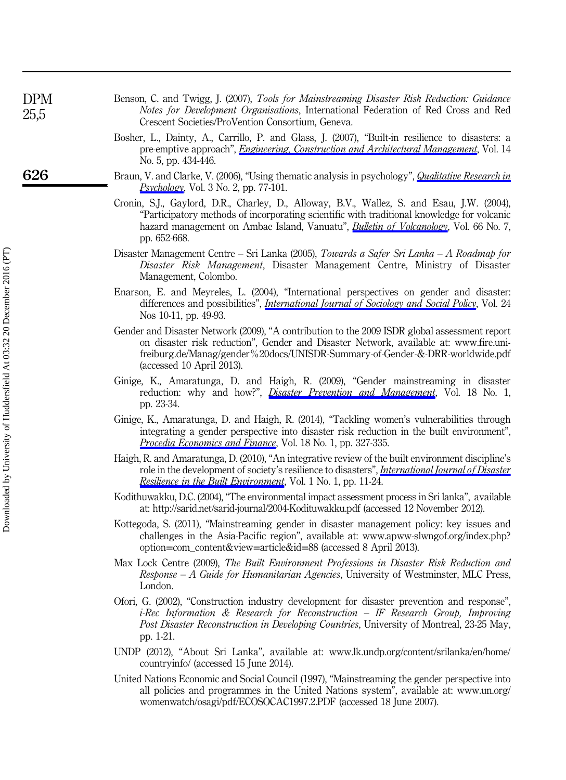| DPM<br>25,5 | Benson, C. and Twigg, J. (2007), Tools for Mainstreaming Disaster Risk Reduction: Guidance<br>Notes for Development Organisations, International Federation of Red Cross and Red<br>Crescent Societies/ProVention Consortium, Geneva.                                                               |
|-------------|-----------------------------------------------------------------------------------------------------------------------------------------------------------------------------------------------------------------------------------------------------------------------------------------------------|
|             | Bosher, L., Dainty, A., Carrillo, P. and Glass, J. (2007), "Built-in resilience to disasters: a<br>pre-emptive approach", <i>Engineering, Construction and Architectural Management</i> , Vol. 14<br>No. 5, pp. 434-446.                                                                            |
| 626         | Braun, V. and Clarke, V. (2006), "Using thematic analysis in psychology", <i>Qualitative Research in</i><br>Psychology, Vol. 3 No. 2, pp. 77-101.                                                                                                                                                   |
|             | Cronin, S.J., Gaylord, D.R., Charley, D., Alloway, B.V., Wallez, S. and Esau, J.W. (2004),<br>"Participatory methods of incorporating scientific with traditional knowledge for volcanic<br>hazard management on Ambae Island, Vanuatu", Bulletin of Volcanology, Vol. 66 No. 7,<br>pp. 652-668.    |
|             | Disaster Management Centre – Sri Lanka (2005), Towards a Safer Sri Lanka – A Roadmap for<br>Disaster Risk Management, Disaster Management Centre, Ministry of Disaster<br>Management, Colombo.                                                                                                      |
|             | Enarson, E. and Meyreles, L. (2004), "International perspectives on gender and disaster:<br>differences and possibilities", <i>International Journal of Sociology and Social Policy</i> , Vol. 24<br>Nos 10-11, pp. 49-93.                                                                          |
|             | Gender and Disaster Network (2009), "A contribution to the 2009 ISDR global assessment report<br>on disaster risk reduction", Gender and Disaster Network, available at: www.fire.uni-<br>freiburg.de/Manag/gender%20docs/UNISDR-Summary-of-Gender-&-DRR-worldwide.pdf<br>(accessed 10 April 2013). |
|             | Ginige, K., Amaratunga, D. and Haigh, R. (2009), "Gender mainstreaming in disaster<br>reduction: why and how?", <i>Disaster Prevention and Management</i> , Vol. 18 No. 1,<br>pp. 23-34.                                                                                                            |
|             | Ginige, K., Amaratunga, D. and Haigh, R. (2014), "Tackling women's vulnerabilities through<br>integrating a gender perspective into disaster risk reduction in the built environment",<br><i>Procedia Economics and Finance</i> , Vol. 18 No. 1, pp. 327-335.                                       |
|             | Haigh, R. and Amaratunga, D. (2010), "An integrative review of the built environment discipline's<br>role in the development of society's resilience to disasters", <i>International Journal of Disaster</i><br><i>Resilience in the Built Environment</i> , Vol. 1 No. 1, pp. 11-24.               |
|             | Kodithuwakku, D.C. (2004), "The environmental impact assessment process in Sri lanka", available<br>at: http://sarid.net/sarid-journal/2004-Kodituwakku.pdf (accessed 12 November 2012).                                                                                                            |
|             | Kottegoda, S. (2011), "Mainstreaming gender in disaster management policy: key issues and<br>challenges in the Asia-Pacific region", available at: www.apww-slwngof.org/index.php?<br>option=com_content&view=article&id=88 (accessed 8 April 2013).                                                |
|             | Max Lock Centre (2009), The Built Environment Professions in Disaster Risk Reduction and<br>Response - A Guide for Humanitarian Agencies, University of Westminster, MLC Press,<br>London.                                                                                                          |
|             | Ofori, G. (2002), "Construction industry development for disaster prevention and response",<br>i-Rec Information & Research for Reconstruction $-$ IF Research Group, Improving<br>Post Disaster Reconstruction in Developing Countries, University of Montreal, 23-25 May,<br>pp. 1-21.            |
|             | UNDP (2012), "About Sri Lanka", available at: www.lk.undp.org/content/srilanka/en/home/<br>countryinfo/ (accessed 15 June 2014).                                                                                                                                                                    |
|             | United Nations Economic and Social Council (1997), "Mainstreaming the gender perspective into<br>all policies and programmes in the United Nations system", available at: www.un.org/                                                                                                               |

[womenwatch/osagi/pdf/ECOSOCAC1997.2.PDF](www.un.org/womenwatch/osagi/pdf/ECOSOCAC1997.2.PDF) (accessed 18 June 2007).